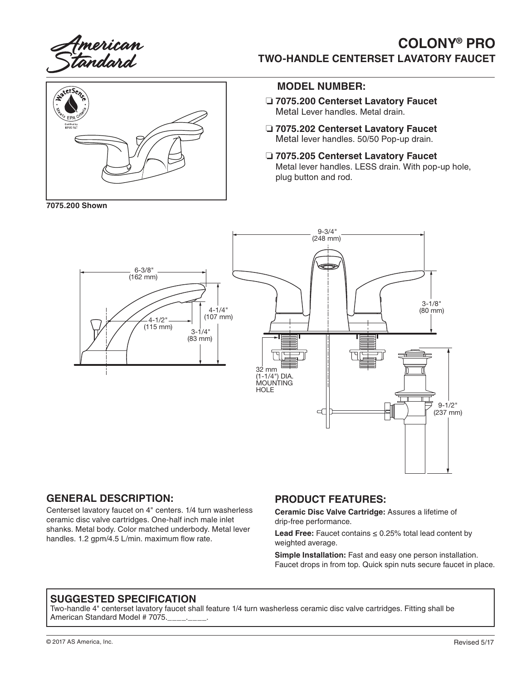

# **COLONY® PRO TWO-HANDLE CENTERSET LAVATORY FAUCET**



**7075.200 Shown**

#### **MODEL NUMBER:**

- ❏ **7075.200 Centerset Lavatory Faucet** Metal Lever handles. Metal drain.
- ❏ **7075.202 Centerset Lavatory Faucet** Metal lever handles. 50/50 Pop-up drain.
- ❏ **7075.205 Centerset Lavatory Faucet** Metal lever handles. LESS drain. With pop-up hole, plug button and rod.



### **GENERAL DESCRIPTION:**

Centerset lavatory faucet on 4" centers. 1/4 turn washerless ceramic disc valve cartridges. One-half inch male inlet shanks. Metal body. Color matched underbody. Metal lever handles. 1.2 gpm/4.5 L/min. maximum flow rate.

#### **PRODUCT FEATURES:**

**Ceramic Disc Valve Cartridge:** Assures a lifetime of drip-free performance.

**Lead Free:** Faucet contains ≤ 0.25% total lead content by weighted average.

**Simple Installation:** Fast and easy one person installation. Faucet drops in from top. Quick spin nuts secure faucet in place.

#### **SUGGESTED SPECIFICATION**

Two-handle 4" centerset lavatory faucet shall feature 1/4 turn washerless ceramic disc valve cartridges. Fitting shall be American Standard Model # 7075.